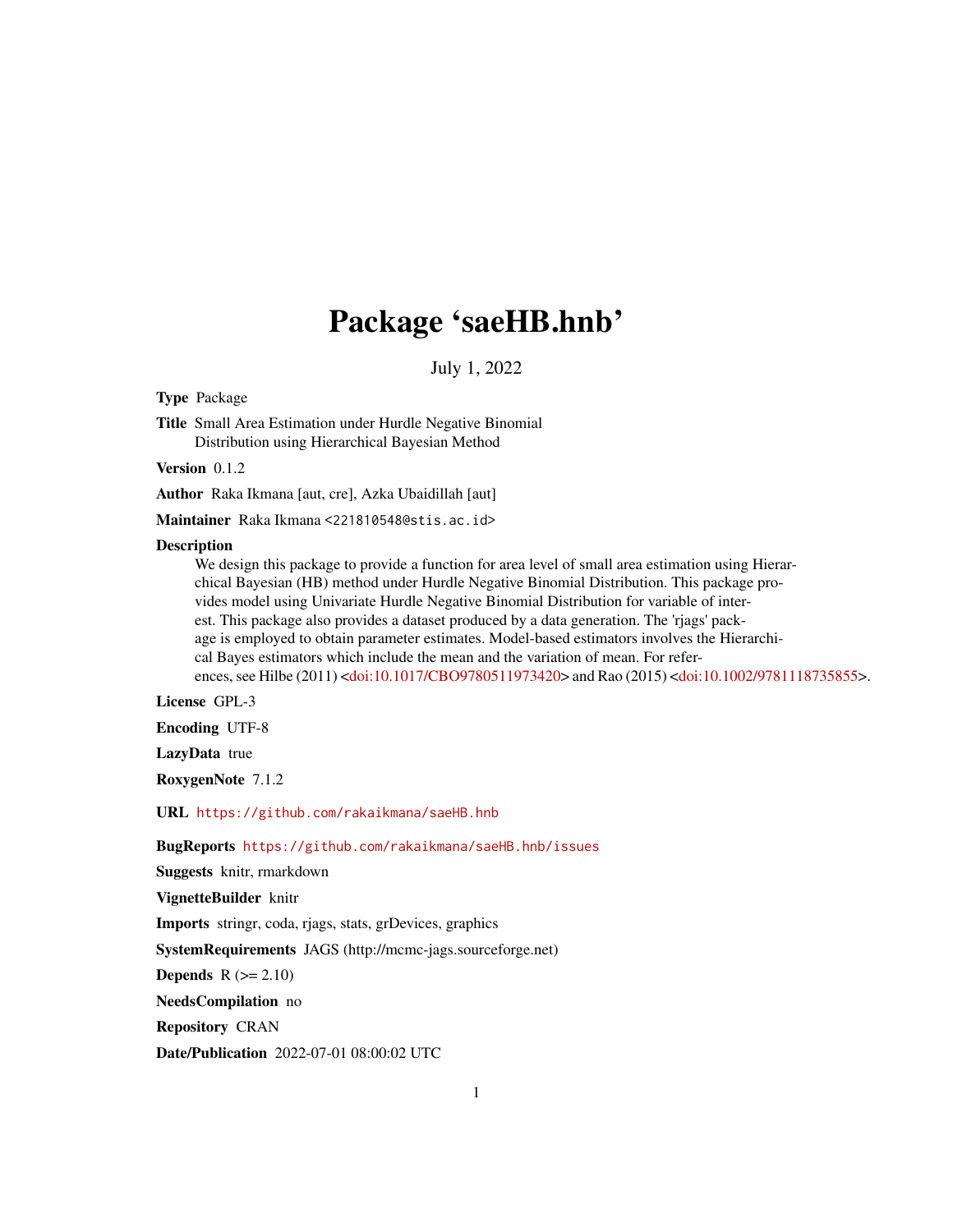# Package 'saeHB.hnb'

July 1, 2022

Type Package

Title Small Area Estimation under Hurdle Negative Binomial Distribution using Hierarchical Bayesian Method

Version 0.1.2

Author Raka Ikmana [aut, cre], Azka Ubaidillah [aut]

Maintainer Raka Ikmana <221810548@stis.ac.id>

#### **Description**

We design this package to provide a function for area level of small area estimation using Hierarchical Bayesian (HB) method under Hurdle Negative Binomial Distribution. This package provides model using Univariate Hurdle Negative Binomial Distribution for variable of interest. This package also provides a dataset produced by a data generation. The 'rjags' package is employed to obtain parameter estimates. Model-based estimators involves the Hierarchical Bayes estimators which include the mean and the variation of mean. For references, see Hilbe (2011) [<doi:10.1017/CBO9780511973420>](https://doi.org/10.1017/CBO9780511973420) and Rao (2015) [<doi:10.1002/9781118735855>](https://doi.org/10.1002/9781118735855).

License GPL-3

Encoding UTF-8

LazyData true

RoxygenNote 7.1.2

URL <https://github.com/rakaikmana/saeHB.hnb>

BugReports <https://github.com/rakaikmana/saeHB.hnb/issues>

Suggests knitr, rmarkdown

VignetteBuilder knitr

Imports stringr, coda, rjags, stats, grDevices, graphics

SystemRequirements JAGS (http://mcmc-jags.sourceforge.net)

Depends  $R (= 2.10)$ 

NeedsCompilation no

Repository CRAN

Date/Publication 2022-07-01 08:00:02 UTC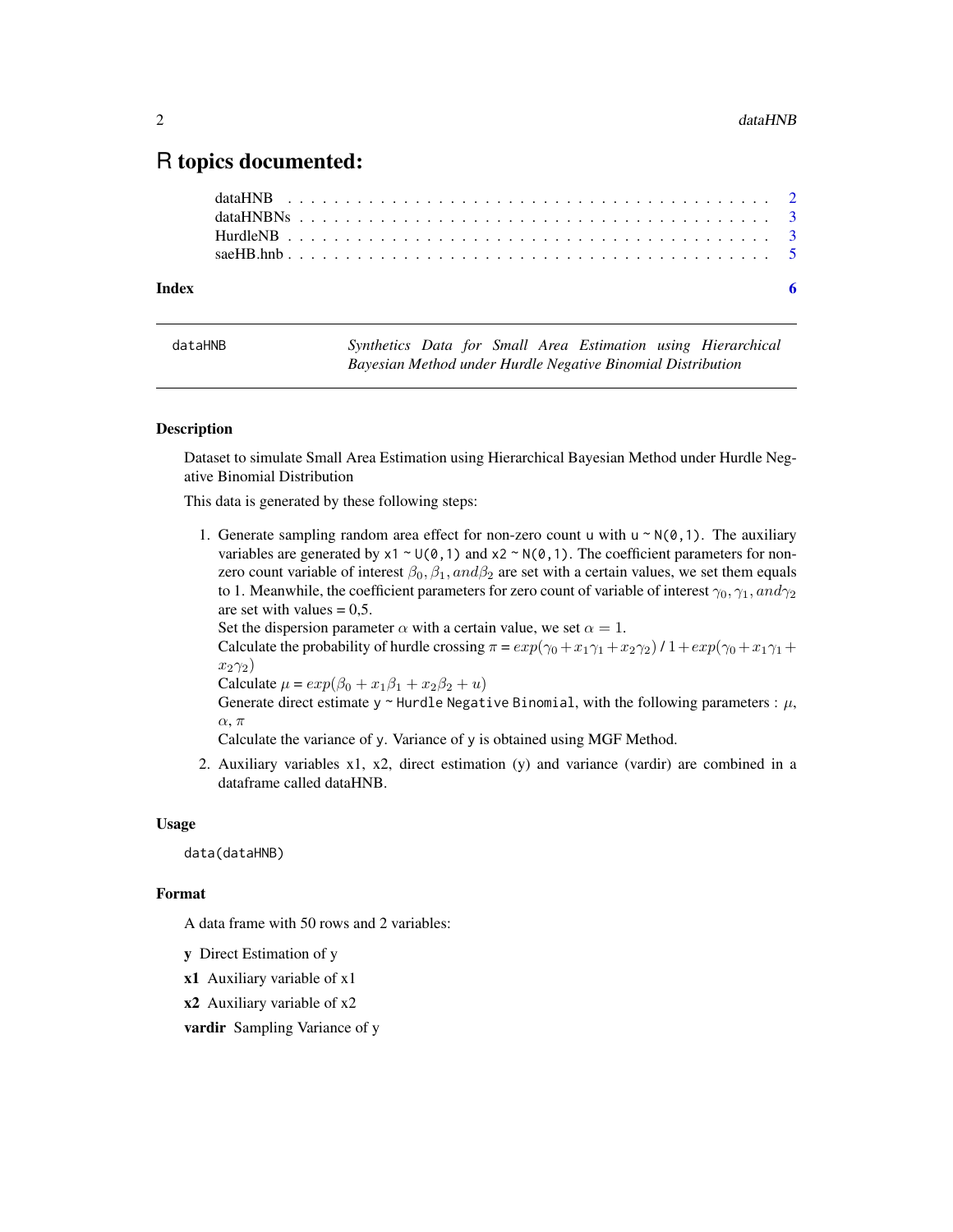# <span id="page-1-0"></span>R topics documented:

| Index |  |  |  |  |  |  |  |  |  |  |  |  |  |  |  |  |  |  |  |
|-------|--|--|--|--|--|--|--|--|--|--|--|--|--|--|--|--|--|--|--|
|       |  |  |  |  |  |  |  |  |  |  |  |  |  |  |  |  |  |  |  |
|       |  |  |  |  |  |  |  |  |  |  |  |  |  |  |  |  |  |  |  |
|       |  |  |  |  |  |  |  |  |  |  |  |  |  |  |  |  |  |  |  |
|       |  |  |  |  |  |  |  |  |  |  |  |  |  |  |  |  |  |  |  |

dataHNB *Synthetics Data for Small Area Estimation using Hierarchical Bayesian Method under Hurdle Negative Binomial Distribution*

#### Description

Dataset to simulate Small Area Estimation using Hierarchical Bayesian Method under Hurdle Negative Binomial Distribution

This data is generated by these following steps:

1. Generate sampling random area effect for non-zero count u with  $u \sim N(\emptyset, 1)$ . The auxiliary variables are generated by  $x1 \sim U(0,1)$  and  $x2 \sim N(0,1)$ . The coefficient parameters for nonzero count variable of interest  $\beta_0$ ,  $\beta_1$ ,  $and \beta_2$  are set with a certain values, we set them equals to 1. Meanwhile, the coefficient parameters for zero count of variable of interest  $\gamma_0$ ,  $\gamma_1$ , and  $\gamma_2$ are set with values  $= 0.5$ .

Set the dispersion parameter  $\alpha$  with a certain value, we set  $\alpha = 1$ .

Calculate the probability of hurdle crossing  $\pi = exp(\gamma_0 + x_1\gamma_1 + x_2\gamma_2)/1+exp(\gamma_0 + x_1\gamma_1 + x_2\gamma_2)$  $x_2\gamma_2$ )

Calculate  $\mu = exp(\beta_0 + x_1\beta_1 + x_2\beta_2 + u)$ 

Generate direct estimate y ~ Hurdle Negative Binomial, with the following parameters :  $\mu$ ,  $\alpha$ ,  $\pi$ 

Calculate the variance of y. Variance of y is obtained using MGF Method.

2. Auxiliary variables x1, x2, direct estimation (y) and variance (vardir) are combined in a dataframe called dataHNB.

#### Usage

data(dataHNB)

#### Format

A data frame with 50 rows and 2 variables:

- y Direct Estimation of y
- x1 Auxiliary variable of x1
- x2 Auxiliary variable of x2
- vardir Sampling Variance of y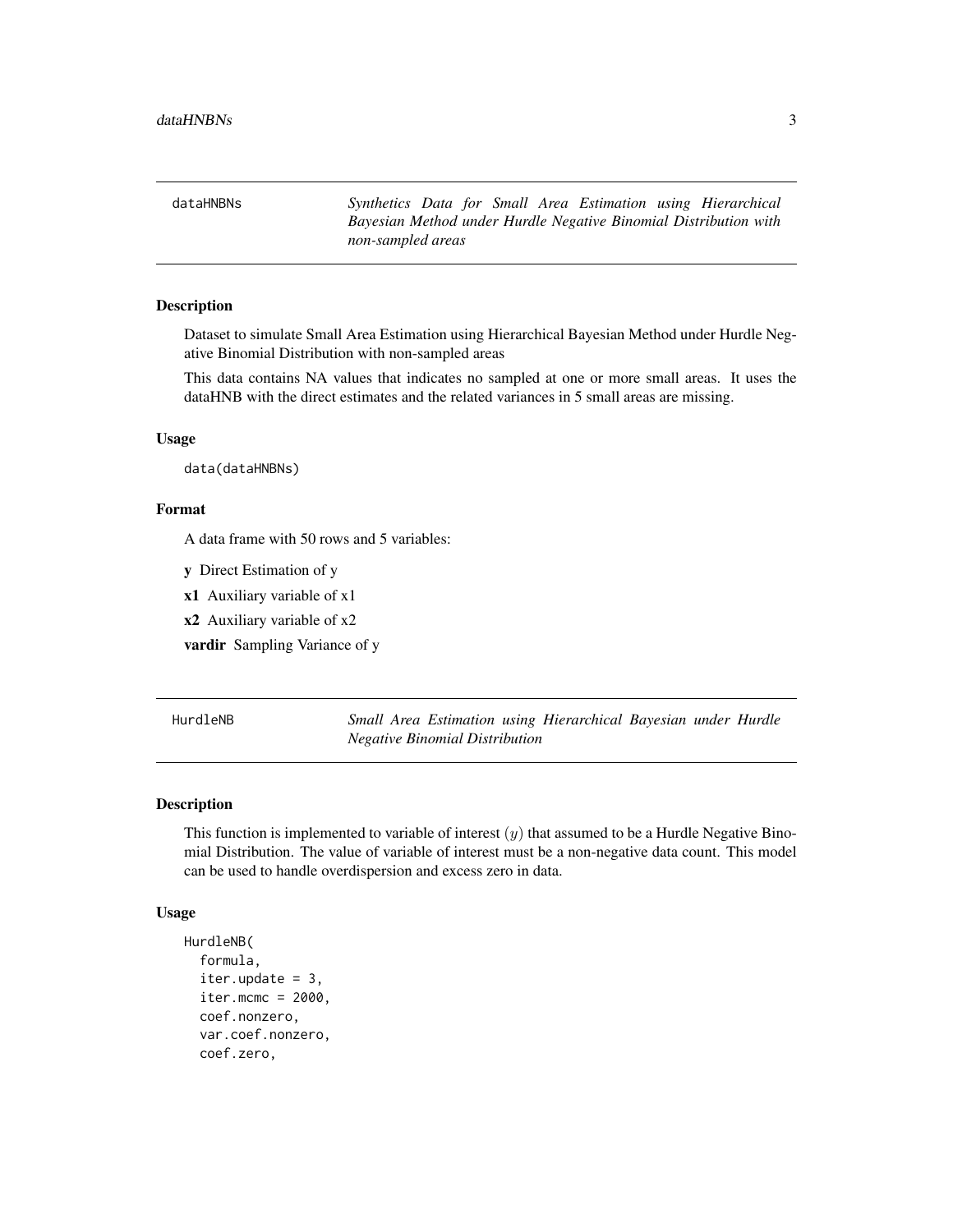<span id="page-2-0"></span>dataHNBNs *Synthetics Data for Small Area Estimation using Hierarchical Bayesian Method under Hurdle Negative Binomial Distribution with non-sampled areas*

#### Description

Dataset to simulate Small Area Estimation using Hierarchical Bayesian Method under Hurdle Negative Binomial Distribution with non-sampled areas

This data contains NA values that indicates no sampled at one or more small areas. It uses the dataHNB with the direct estimates and the related variances in 5 small areas are missing.

#### Usage

data(dataHNBNs)

#### Format

A data frame with 50 rows and 5 variables:

- y Direct Estimation of y
- x1 Auxiliary variable of x1
- x2 Auxiliary variable of x2

vardir Sampling Variance of y

<span id="page-2-1"></span>HurdleNB *Small Area Estimation using Hierarchical Bayesian under Hurdle Negative Binomial Distribution*

#### Description

This function is implemented to variable of interest  $(y)$  that assumed to be a Hurdle Negative Binomial Distribution. The value of variable of interest must be a non-negative data count. This model can be used to handle overdispersion and excess zero in data.

#### Usage

```
HurdleNB(
  formula,
  iter.update = 3,iter.mcmc = 2000,
  coef.nonzero,
  var.coef.nonzero,
  coef.zero,
```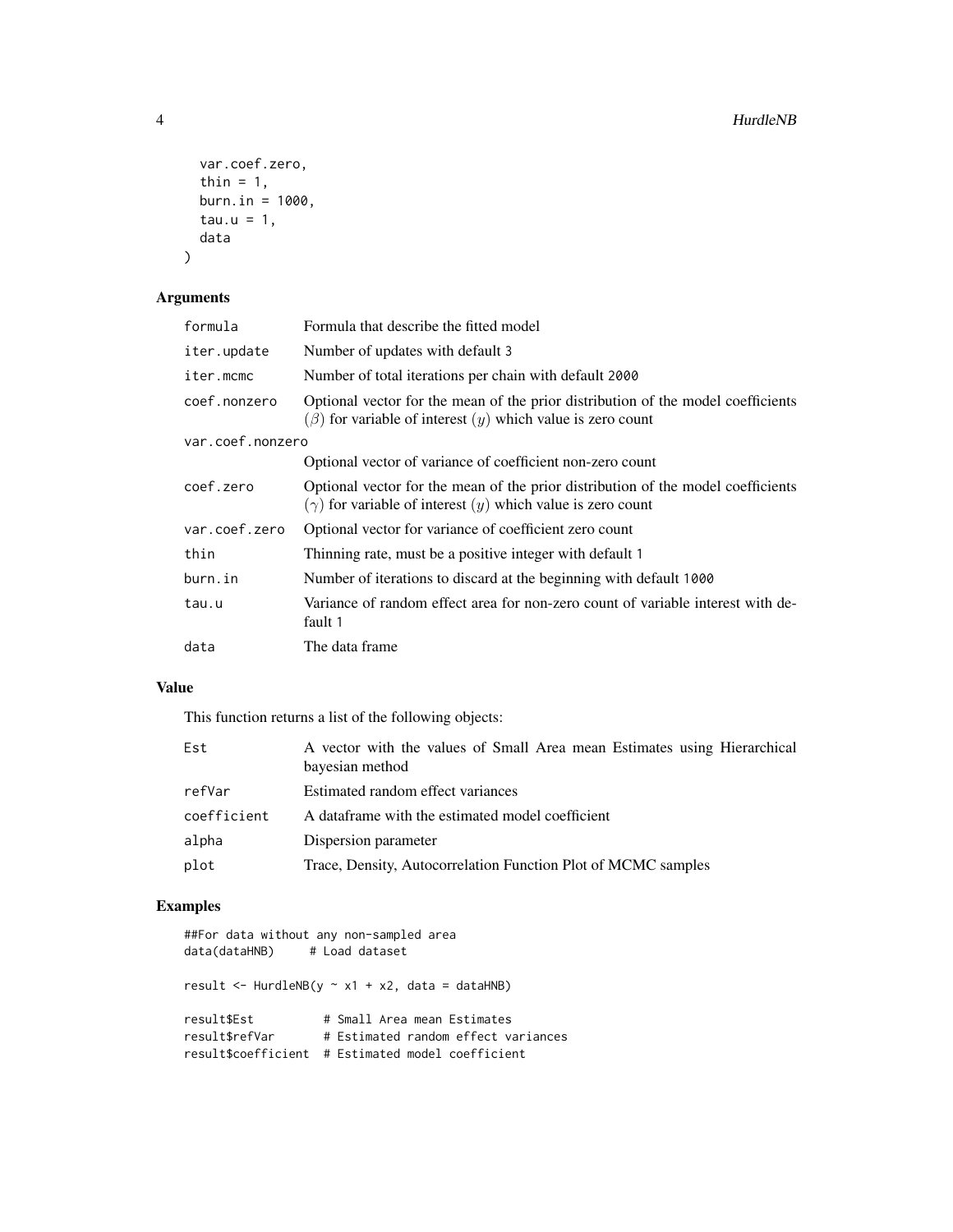```
var.coef.zero,
 thin = 1,
 burn.in = 1000,
 tau.u = 1,data
)
```
# Arguments

| formula                                         | Formula that describe the fitted model                                                                                                                  |  |  |
|-------------------------------------------------|---------------------------------------------------------------------------------------------------------------------------------------------------------|--|--|
| iter.update<br>Number of updates with default 3 |                                                                                                                                                         |  |  |
| iter.mcmc                                       | Number of total iterations per chain with default 2000                                                                                                  |  |  |
| coef.nonzero                                    | Optional vector for the mean of the prior distribution of the model coefficients<br>$(\beta)$ for variable of interest $(y)$ which value is zero count  |  |  |
| var.coef.nonzero                                |                                                                                                                                                         |  |  |
|                                                 | Optional vector of variance of coefficient non-zero count                                                                                               |  |  |
| coef.zero                                       | Optional vector for the mean of the prior distribution of the model coefficients<br>$(\gamma)$ for variable of interest $(y)$ which value is zero count |  |  |
| var.coef.zero                                   | Optional vector for variance of coefficient zero count                                                                                                  |  |  |
| thin                                            | Thinning rate, must be a positive integer with default 1                                                                                                |  |  |
| burn.in                                         | Number of iterations to discard at the beginning with default 1000                                                                                      |  |  |
| tau.u                                           | Variance of random effect area for non-zero count of variable interest with de-<br>fault 1                                                              |  |  |
| data                                            | The data frame                                                                                                                                          |  |  |

### Value

This function returns a list of the following objects:

| Est         | A vector with the values of Small Area mean Estimates using Hierarchical<br>bayesian method |
|-------------|---------------------------------------------------------------------------------------------|
| refVar      | Estimated random effect variances                                                           |
| coefficient | A dataframe with the estimated model coefficient                                            |
| alpha       | Dispersion parameter                                                                        |
| plot        | Trace, Density, Autocorrelation Function Plot of MCMC samples                               |

## Examples

| ##For data without any non-sampled area<br>data(dataHNB) # Load dataset |                                                                                                     |  |  |  |  |  |  |
|-------------------------------------------------------------------------|-----------------------------------------------------------------------------------------------------|--|--|--|--|--|--|
|                                                                         | result $\le$ HurdleNB(y $\sim$ x1 + x2, data = dataHNB)                                             |  |  |  |  |  |  |
| result\$Est<br>result\$refVar<br>result\$coefficient                    | # Small Area mean Estimates<br># Estimated random effect variances<br># Estimated model coefficient |  |  |  |  |  |  |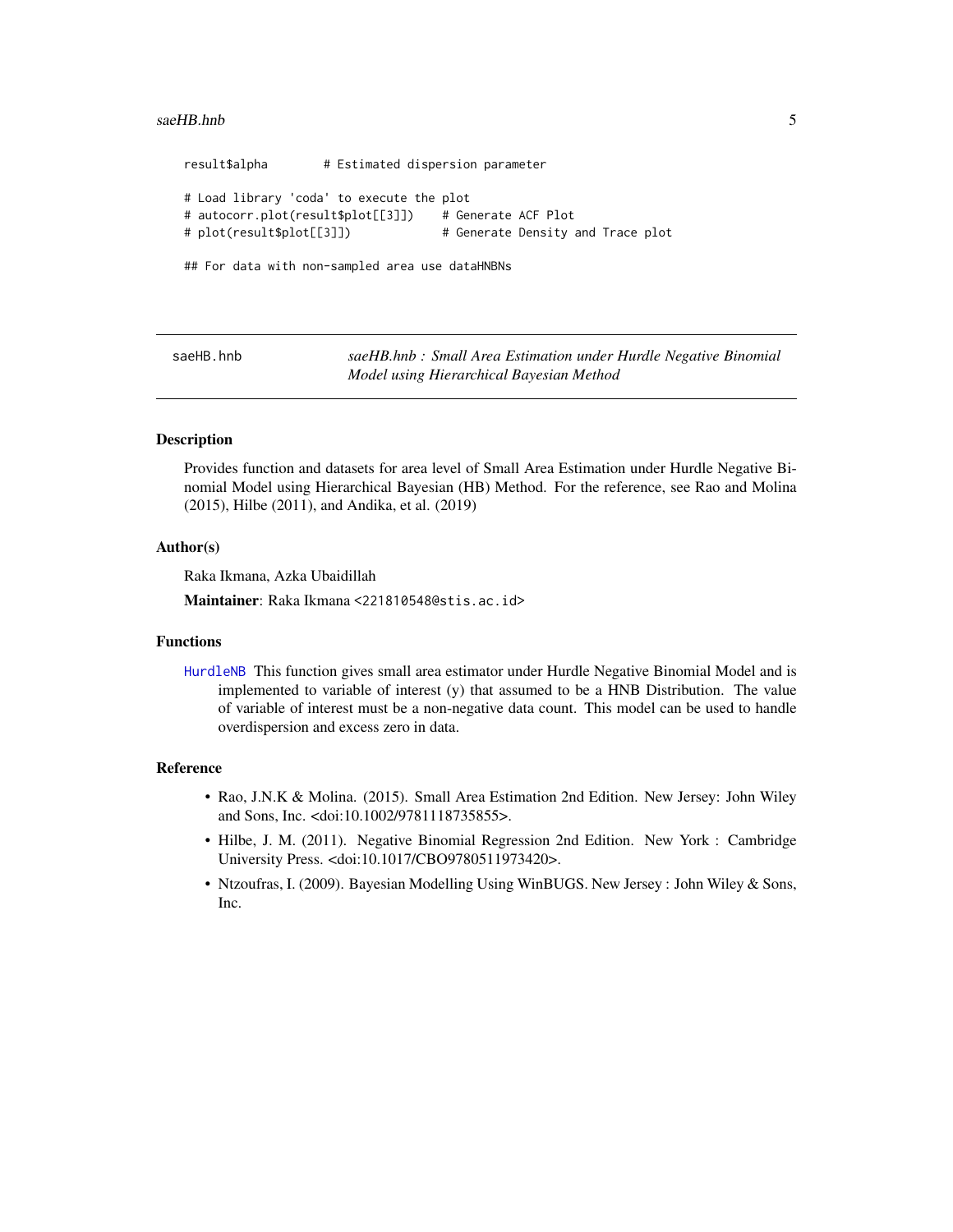#### <span id="page-4-0"></span>saeHB.hnb 5

result\$alpha # Estimated dispersion parameter # Load library 'coda' to execute the plot # autocorr.plot(result\$plot[[3]]) # Generate ACF Plot # plot(result\$plot[[3]]) # Generate Density and Trace plot

## For data with non-sampled area use dataHNBNs

saeHB.hnb *saeHB.hnb : Small Area Estimation under Hurdle Negative Binomial Model using Hierarchical Bayesian Method*

#### **Description**

Provides function and datasets for area level of Small Area Estimation under Hurdle Negative Binomial Model using Hierarchical Bayesian (HB) Method. For the reference, see Rao and Molina (2015), Hilbe (2011), and Andika, et al. (2019)

#### Author(s)

Raka Ikmana, Azka Ubaidillah

Maintainer: Raka Ikmana <221810548@stis.ac.id>

#### Functions

[HurdleNB](#page-2-1) This function gives small area estimator under Hurdle Negative Binomial Model and is implemented to variable of interest (y) that assumed to be a HNB Distribution. The value of variable of interest must be a non-negative data count. This model can be used to handle overdispersion and excess zero in data.

#### Reference

- Rao, J.N.K & Molina. (2015). Small Area Estimation 2nd Edition. New Jersey: John Wiley and Sons, Inc. <doi:10.1002/9781118735855>.
- Hilbe, J. M. (2011). Negative Binomial Regression 2nd Edition. New York : Cambridge University Press. <doi:10.1017/CBO9780511973420>.
- Ntzoufras, I. (2009). Bayesian Modelling Using WinBUGS. New Jersey : John Wiley & Sons, Inc.